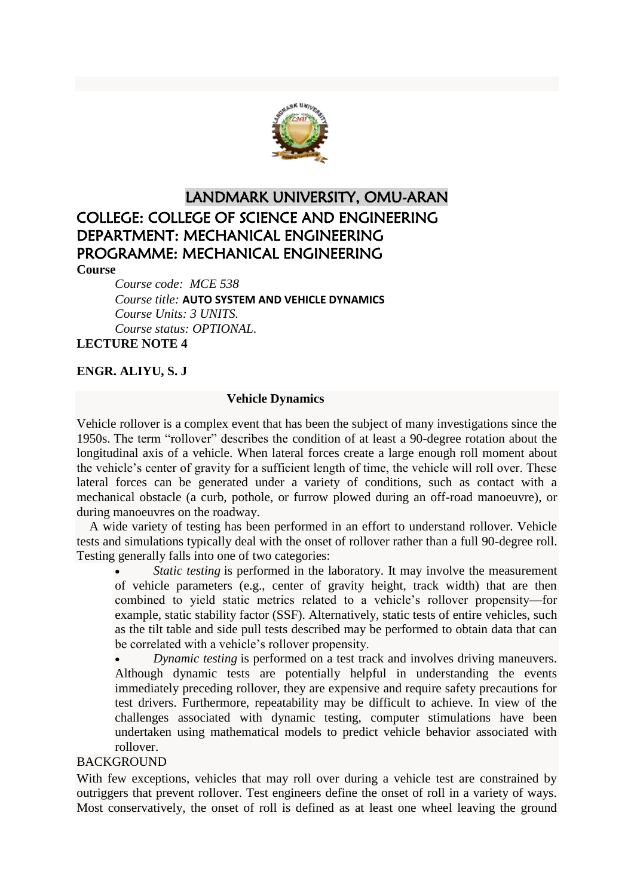

# LANDMARK UNIVERSITY, OMU-ARAN COLLEGE: COLLEGE OF SCIENCE AND ENGINEERING DEPARTMENT: MECHANICAL ENGINEERING PROGRAMME: MECHANICAL ENGINEERING **Course**

*Course code: MCE 538 Course title:* **AUTO SYSTEM AND VEHICLE DYNAMICS** *Course Units: 3 UNITS. Course status: OPTIONAL.* **LECTURE NOTE 4**

### **ENGR. ALIYU, S. J**

#### **Vehicle Dynamics**

Vehicle rollover is a complex event that has been the subject of many investigations since the 1950s. The term "rollover" describes the condition of at least a 90-degree rotation about the longitudinal axis of a vehicle. When lateral forces create a large enough roll moment about the vehicle's center of gravity for a sufficient length of time, the vehicle will roll over. These lateral forces can be generated under a variety of conditions, such as contact with a mechanical obstacle (a curb, pothole, or furrow plowed during an off-road manoeuvre), or during manoeuvres on the roadway.

A wide variety of testing has been performed in an effort to understand rollover. Vehicle tests and simulations typically deal with the onset of rollover rather than a full 90-degree roll. Testing generally falls into one of two categories:

 *Static testing* is performed in the laboratory. It may involve the measurement of vehicle parameters (e.g., center of gravity height, track width) that are then combined to yield static metrics related to a vehicle's rollover propensity—for example, static stability factor (SSF). Alternatively, static tests of entire vehicles, such as the tilt table and side pull tests described may be performed to obtain data that can be correlated with a vehicle's rollover propensity.

*Dynamic testing* is performed on a test track and involves driving maneuvers. Although dynamic tests are potentially helpful in understanding the events immediately preceding rollover, they are expensive and require safety precautions for test drivers. Furthermore, repeatability may be difficult to achieve. In view of the challenges associated with dynamic testing, computer stimulations have been undertaken using mathematical models to predict vehicle behavior associated with rollover.

### BACKGROUND

With few exceptions, vehicles that may roll over during a vehicle test are constrained by outriggers that prevent rollover. Test engineers define the onset of roll in a variety of ways. Most conservatively, the onset of roll is defined as at least one wheel leaving the ground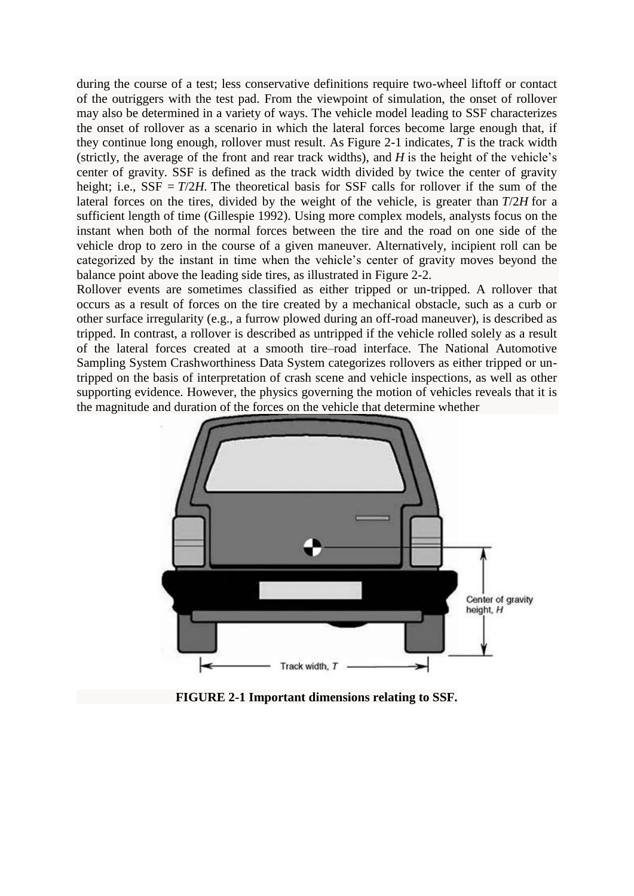during the course of a test; less conservative definitions require two-wheel liftoff or contact of the outriggers with the test pad. From the viewpoint of simulation, the onset of rollover may also be determined in a variety of ways. The vehicle model leading to SSF characterizes the onset of rollover as a scenario in which the lateral forces become large enough that, if they continue long enough, rollover must result. As [Figure 2-1](http://www.nap.edu/read/10308/chapter/4#p200100679960023001) indicates, *T* is the track width (strictly, the average of the front and rear track widths), and *H* is the height of the vehicle's center of gravity. SSF is defined as the track width divided by twice the center of gravity height; i.e.,  $SSF = T/2H$ . The theoretical basis for SSF calls for rollover if the sum of the lateral forces on the tires, divided by the weight of the vehicle, is greater than *T*/2*H* for a sufficient length of time (Gillespie 1992). Using more complex models, analysts focus on the instant when both of the normal forces between the tire and the road on one side of the vehicle drop to zero in the course of a given maneuver. Alternatively, incipient roll can be categorized by the instant in time when the vehicle's center of gravity moves beyond the balance point above the leading side tires, as illustrated in [Figure 2-2.](http://www.nap.edu/read/10308/chapter/4#p200100679960023002)

Rollover events are sometimes classified as either tripped or un-tripped. A rollover that occurs as a result of forces on the tire created by a mechanical obstacle, such as a curb or other surface irregularity (e.g., a furrow plowed during an off-road maneuver), is described as tripped. In contrast, a rollover is described as untripped if the vehicle rolled solely as a result of the lateral forces created at a smooth tire–road interface. The National Automotive Sampling System Crashworthiness Data System categorizes rollovers as either tripped or untripped on the basis of interpretation of crash scene and vehicle inspections, as well as other supporting evidence. However, the physics governing the motion of vehicles reveals that it is the magnitude and duration of the forces on the vehicle that determine whether



 **FIGURE 2-1 Important dimensions relating to SSF.**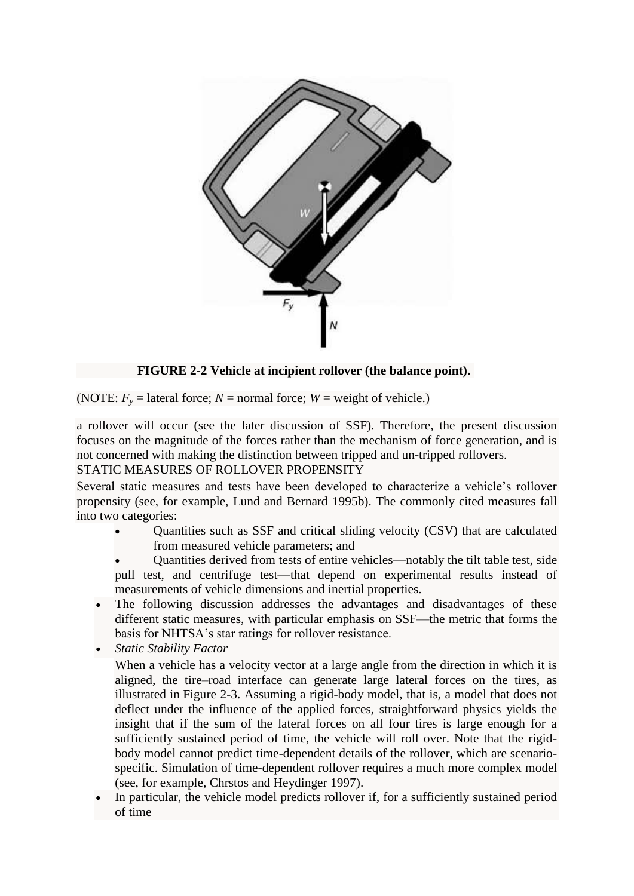

 **FIGURE 2-2 Vehicle at incipient rollover (the balance point).**

(NOTE:  $F_y$  = lateral force;  $N$  = normal force;  $W$  = weight of vehicle.)

a rollover will occur (see the later discussion of SSF). Therefore, the present discussion focuses on the magnitude of the forces rather than the mechanism of force generation, and is not concerned with making the distinction between tripped and un-tripped rollovers.

# STATIC MEASURES OF ROLLOVER PROPENSITY

Several static measures and tests have been developed to characterize a vehicle's rollover propensity (see, for example, Lund and Bernard 1995b). The commonly cited measures fall into two categories:

 Quantities such as SSF and critical sliding velocity (CSV) that are calculated from measured vehicle parameters; and

 Quantities derived from tests of entire vehicles—notably the tilt table test, side pull test, and centrifuge test—that depend on experimental results instead of measurements of vehicle dimensions and inertial properties.

- The following discussion addresses the advantages and disadvantages of these different static measures, with particular emphasis on SSF—the metric that forms the basis for NHTSA's star ratings for rollover resistance.
- *Static Stability Factor*

When a vehicle has a velocity vector at a large angle from the direction in which it is aligned, the tire–road interface can generate large lateral forces on the tires, as illustrated in [Figure 2-3.](http://www.nap.edu/read/10308/chapter/4#p200100679960025001) Assuming a rigid-body model, that is, a model that does not deflect under the influence of the applied forces, straightforward physics yields the insight that if the sum of the lateral forces on all four tires is large enough for a sufficiently sustained period of time, the vehicle will roll over. Note that the rigidbody model cannot predict time-dependent details of the rollover, which are scenariospecific. Simulation of time-dependent rollover requires a much more complex model (see, for example, Chrstos and Heydinger 1997).

 In particular, the vehicle model predicts rollover if, for a sufficiently sustained period of time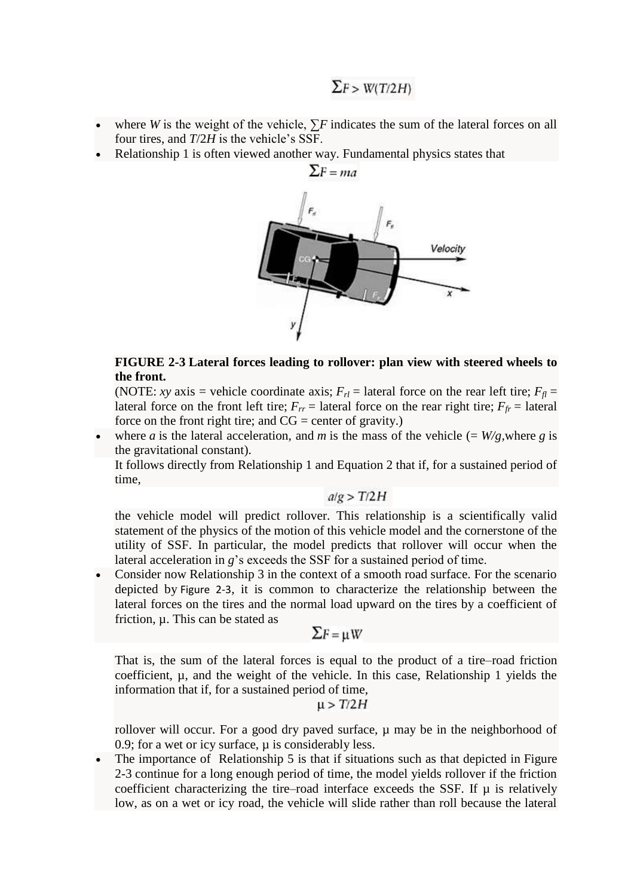# $\Sigma F > W(T/2H)$

- where *W* is the weight of the vehicle, ∑*F* indicates the sum of the lateral forces on all four tires, and *T*/2*H* is the vehicle's SSF.
- Relationship 1 is often viewed another way. Fundamental physics states that



#### **FIGURE 2-3 Lateral forces leading to rollover: plan view with steered wheels to the front.**

(NOTE: *xy* axis = vehicle coordinate axis;  $F_{rl}$  = lateral force on the rear left tire;  $F_{fl}$  = lateral force on the front left tire;  $F_{rr}$  = lateral force on the rear right tire;  $F_{rr}$  = lateral force on the front right tire; and  $CG =$  center of gravity.)

where *a* is the lateral acceleration, and *m* is the mass of the vehicle (=  $W/g$ , where *g* is the gravitational constant).

It follows directly from Relationship 1 and Equation 2 that if, for a sustained period of time,

 $a/g > T/2H$ 

the vehicle model will predict rollover. This relationship is a scientifically valid statement of the physics of the motion of this vehicle model and the cornerstone of the utility of SSF. In particular, the model predicts that rollover will occur when the lateral acceleration in *g*'s exceeds the SSF for a sustained period of time.

 Consider now Relationship 3 in the context of a smooth road surface. For the scenario depicted by [Figure 2-3](http://www.nap.edu/read/10308/chapter/4#p200100679960025001), it is common to characterize the relationship between the lateral forces on the tires and the normal load upward on the tires by a coefficient of friction, µ. This can be stated as

$$
\Sigma F = \mu W
$$

That is, the sum of the lateral forces is equal to the product of a tire–road friction coefficient, µ, and the weight of the vehicle. In this case, Relationship 1 yields the information that if, for a sustained period of time,

$$
\mu > T/2H
$$

rollover will occur. For a good dry paved surface,  $\mu$  may be in the neighborhood of 0.9; for a wet or icy surface,  $\mu$  is considerably less.

• The importance of Relationship 5 is that if situations such as that depicted in Figure [2-3](http://www.nap.edu/read/10308/chapter/4#p200100679960025001) continue for a long enough period of time, the model yields rollover if the friction coefficient characterizing the tire–road interface exceeds the SSF. If  $\mu$  is relatively low, as on a wet or icy road, the vehicle will slide rather than roll because the lateral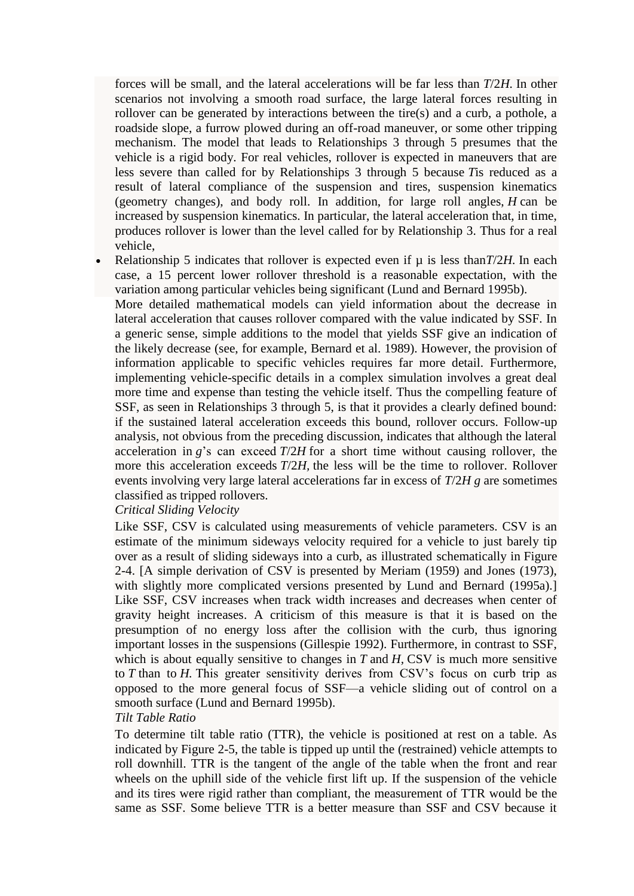forces will be small, and the lateral accelerations will be far less than *T*/2*H.* In other scenarios not involving a smooth road surface, the large lateral forces resulting in rollover can be generated by interactions between the tire(s) and a curb, a pothole, a roadside slope, a furrow plowed during an off-road maneuver, or some other tripping mechanism. The model that leads to Relationships 3 through 5 presumes that the vehicle is a rigid body. For real vehicles, rollover is expected in maneuvers that are less severe than called for by Relationships 3 through 5 because *T*is reduced as a result of lateral compliance of the suspension and tires, suspension kinematics (geometry changes), and body roll. In addition, for large roll angles, *H* can be increased by suspension kinematics. In particular, the lateral acceleration that, in time, produces rollover is lower than the level called for by Relationship 3. Thus for a real vehicle,

Relationship 5 indicates that rollover is expected even if  $\mu$  is less than  $T/2H$ . In each case, a 15 percent lower rollover threshold is a reasonable expectation, with the variation among particular vehicles being significant (Lund and Bernard 1995b).

More detailed mathematical models can yield information about the decrease in lateral acceleration that causes rollover compared with the value indicated by SSF. In a generic sense, simple additions to the model that yields SSF give an indication of the likely decrease (see, for example, Bernard et al. 1989). However, the provision of information applicable to specific vehicles requires far more detail. Furthermore, implementing vehicle-specific details in a complex simulation involves a great deal more time and expense than testing the vehicle itself. Thus the compelling feature of SSF, as seen in Relationships 3 through 5, is that it provides a clearly defined bound: if the sustained lateral acceleration exceeds this bound, rollover occurs. Follow-up analysis, not obvious from the preceding discussion, indicates that although the lateral acceleration in *g*'s can exceed *T*/2*H* for a short time without causing rollover, the more this acceleration exceeds *T*/2*H,* the less will be the time to rollover. Rollover events involving very large lateral accelerations far in excess of *T*/2*H g* are sometimes classified as tripped rollovers.

#### *Critical Sliding Velocity*

Like SSF, CSV is calculated using measurements of vehicle parameters. CSV is an estimate of the minimum sideways velocity required for a vehicle to just barely tip over as a result of sliding sideways into a curb, as illustrated schematically in [Figure](http://www.nap.edu/read/10308/chapter/4#p200100679960027001)  [2-4.](http://www.nap.edu/read/10308/chapter/4#p200100679960027001) [A simple derivation of CSV is presented by Meriam (1959) and Jones (1973), with slightly more complicated versions presented by Lund and Bernard (1995a). Like SSF, CSV increases when track width increases and decreases when center of gravity height increases. A criticism of this measure is that it is based on the presumption of no energy loss after the collision with the curb, thus ignoring important losses in the suspensions (Gillespie 1992). Furthermore, in contrast to SSF, which is about equally sensitive to changes in *T* and *H*, CSV is much more sensitive to *T* than to *H.* This greater sensitivity derives from CSV's focus on curb trip as opposed to the more general focus of SSF—a vehicle sliding out of control on a smooth surface (Lund and Bernard 1995b).

#### *Tilt Table Ratio*

To determine tilt table ratio (TTR), the vehicle is positioned at rest on a table. As indicated by [Figure 2-5,](http://www.nap.edu/read/10308/chapter/4#p200100679960028001) the table is tipped up until the (restrained) vehicle attempts to roll downhill. TTR is the tangent of the angle of the table when the front and rear wheels on the uphill side of the vehicle first lift up. If the suspension of the vehicle and its tires were rigid rather than compliant, the measurement of TTR would be the same as SSF. Some believe TTR is a better measure than SSF and CSV because it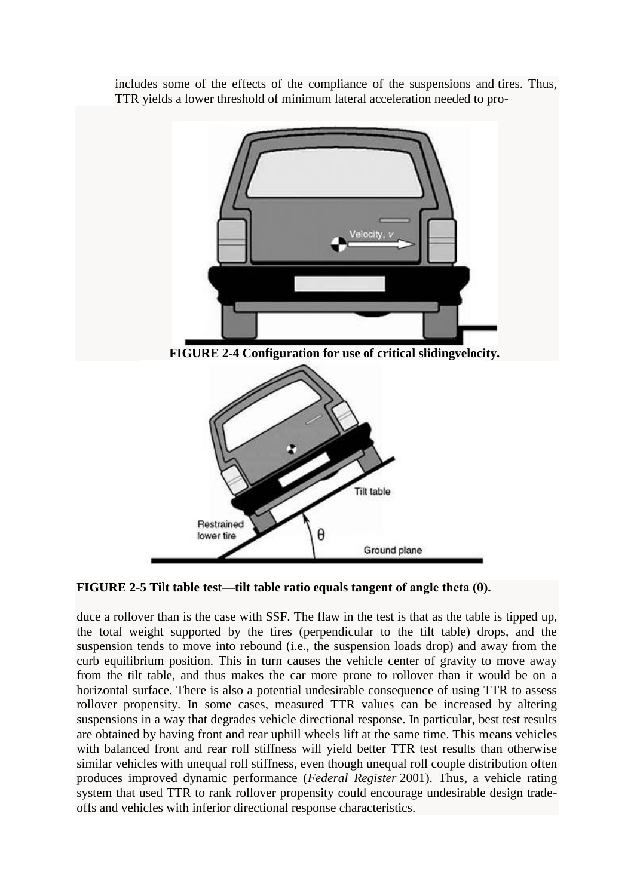includes some of the effects of the compliance of the suspensions and tires. Thus, TTR yields a lower threshold of minimum lateral acceleration needed to pro-



**FIGURE 2-5 Tilt table test—tilt table ratio equals tangent of angle theta (θ).**

duce a rollover than is the case with SSF. The flaw in the test is that as the table is tipped up, the total weight supported by the tires (perpendicular to the tilt table) drops, and the suspension tends to move into rebound (i.e., the suspension loads drop) and away from the curb equilibrium position. This in turn causes the vehicle center of gravity to move away from the tilt table, and thus makes the car more prone to rollover than it would be on a horizontal surface. There is also a potential undesirable consequence of using TTR to assess rollover propensity. In some cases, measured TTR values can be increased by altering suspensions in a way that degrades vehicle directional response. In particular, best test results are obtained by having front and rear uphill wheels lift at the same time. This means vehicles with balanced front and rear roll stiffness will yield better TTR test results than otherwise similar vehicles with unequal roll stiffness, even though unequal roll couple distribution often produces improved dynamic performance (*Federal Register* 2001). Thus, a vehicle rating system that used TTR to rank rollover propensity could encourage undesirable design tradeoffs and vehicles with inferior directional response characteristics.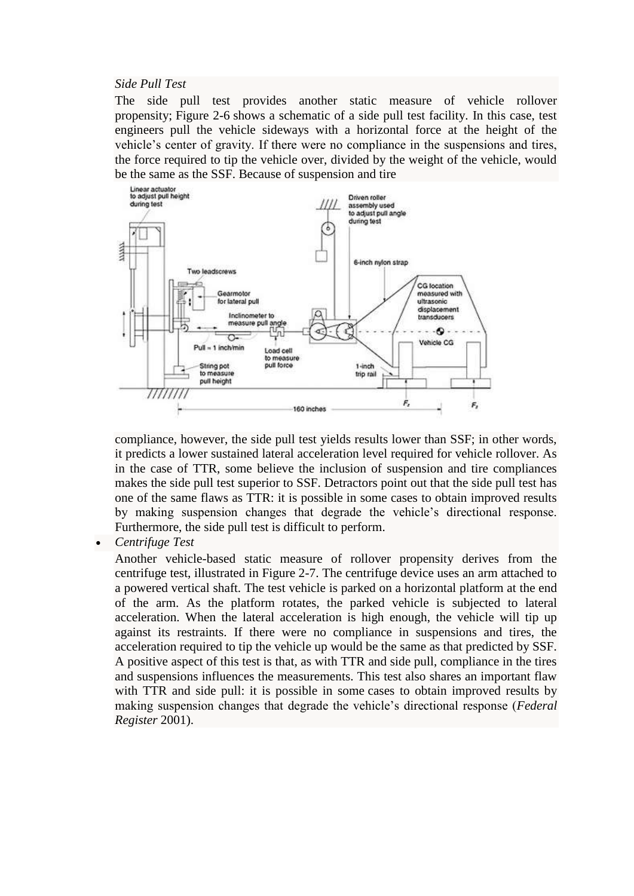#### *Side Pull Test*

The side pull test provides another static measure of vehicle rollover propensity; [Figure 2-6](http://www.nap.edu/read/10308/chapter/4#p200100679960029001) shows a schematic of a side pull test facility. In this case, test engineers pull the vehicle sideways with a horizontal force at the height of the vehicle's center of gravity. If there were no compliance in the suspensions and tires, the force required to tip the vehicle over, divided by the weight of the vehicle, would be the same as the SSF. Because of suspension and tire



compliance, however, the side pull test yields results lower than SSF; in other words, it predicts a lower sustained lateral acceleration level required for vehicle rollover. As in the case of TTR, some believe the inclusion of suspension and tire compliances makes the side pull test superior to SSF. Detractors point out that the side pull test has one of the same flaws as TTR: it is possible in some cases to obtain improved results by making suspension changes that degrade the vehicle's directional response. Furthermore, the side pull test is difficult to perform.

*Centrifuge Test*

Another vehicle-based static measure of rollover propensity derives from the centrifuge test, illustrated in [Figure 2-7.](http://www.nap.edu/read/10308/chapter/4#p200100679960030001) The centrifuge device uses an arm attached to a powered vertical shaft. The test vehicle is parked on a horizontal platform at the end of the arm. As the platform rotates, the parked vehicle is subjected to lateral acceleration. When the lateral acceleration is high enough, the vehicle will tip up against its restraints. If there were no compliance in suspensions and tires, the acceleration required to tip the vehicle up would be the same as that predicted by SSF. A positive aspect of this test is that, as with TTR and side pull, compliance in the tires and suspensions influences the measurements. This test also shares an important flaw with TTR and side pull: it is possible in some cases to obtain improved results by making suspension changes that degrade the vehicle's directional response (*Federal Register* 2001).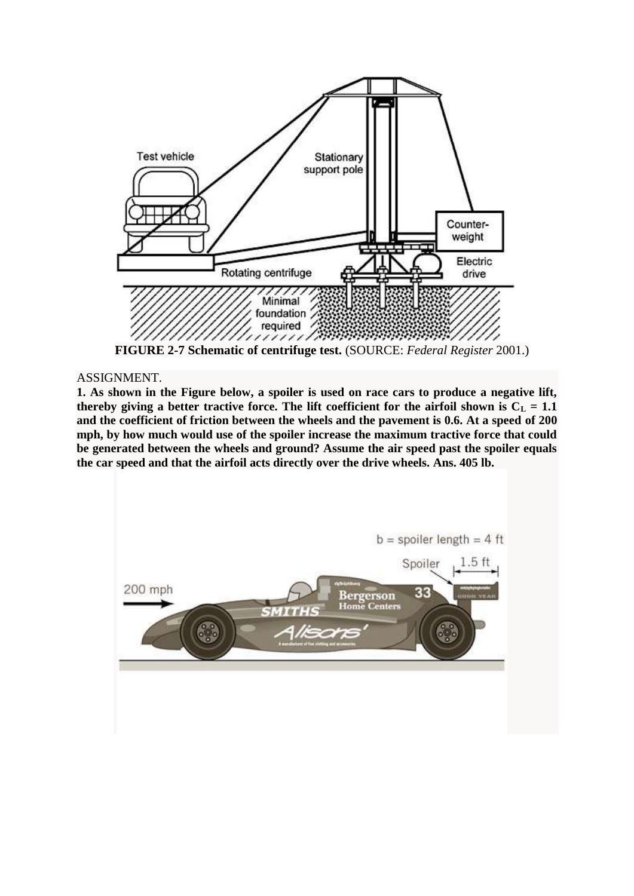

## **FIGURE 2-7 Schematic of centrifuge test.** (SOURCE: *Federal Register* 2001.)

#### ASSIGNMENT.

**1. As shown in the Figure below, a spoiler is used on race cars to produce a negative lift,**  thereby giving a better tractive force. The lift coefficient for the airfoil shown is  $C_L = 1.1$ **and the coefficient of friction between the wheels and the pavement is 0.6. At a speed of 200 mph, by how much would use of the spoiler increase the maximum tractive force that could be generated between the wheels and ground? Assume the air speed past the spoiler equals the car speed and that the airfoil acts directly over the drive wheels. Ans. 405 lb.**

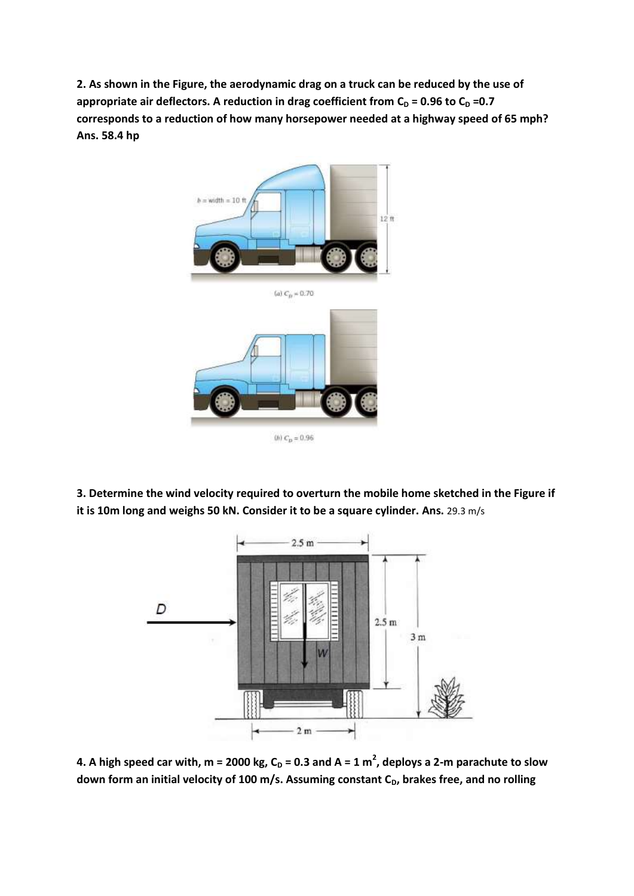**2. As shown in the Figure, the aerodynamic drag on a truck can be reduced by the use of**  appropriate air deflectors. A reduction in drag coefficient from  $C_D = 0.96$  to  $C_D = 0.7$ **corresponds to a reduction of how many horsepower needed at a highway speed of 65 mph? Ans. 58.4 hp**



**3. Determine the wind velocity required to overturn the mobile home sketched in the Figure if it is 10m long and weighs 50 kN. Consider it to be a square cylinder. Ans.** 29.3 m/s



**4. A high speed car with, m = 2000 kg, C<sup>D</sup> = 0.3 and A = 1 m<sup>2</sup> , deploys a 2-m parachute to slow**  down form an initial velocity of 100 m/s. Assuming constant C<sub>D</sub>, brakes free, and no rolling